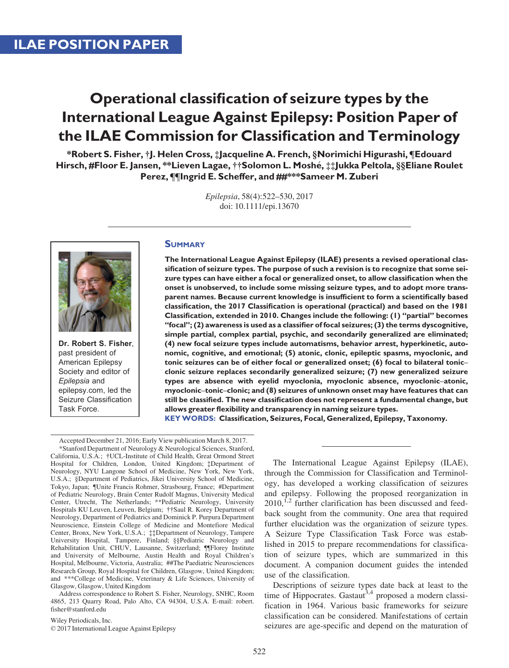# Operational classification of seizure types by the International League Against Epilepsy: Position Paper of the ILAE Commission for Classification and Terminology

\*Robert S. Fisher, †J. Helen Cross, ‡Jacqueline A. French, §Norimichi Higurashi, ¶Edouard Hirsch, #Floor E. Jansen, \*\*Lieven Lagae, ††Solomon L. Moshe, ‡‡Jukka Peltola, §§Eliane Roulet Perez, ¶¶Ingrid E. Scheffer, and ##\*\*\*Sameer M. Zuberi

> Epilepsia, 58(4):522–530, 2017 doi: 10.1111/epi.13670



Dr. Robert S. Fisher, past president of American Epilepsy Society and editor of Epilepsia and epilepsy.com, led the Seizure Classification Task Force.

#### **SUMMARY**

The International League Against Epilepsy (ILAE) presents a revised operational classification of seizure types. The purpose of such a revision is to recognize that some seizure types can have either a focal or generalized onset, to allow classification when the onset is unobserved, to include some missing seizure types, and to adopt more transparent names. Because current knowledge is insufficient to form a scientifically based classification, the 2017 Classification is operational (practical) and based on the 1981 Classification, extended in 2010. Changes include the following: (1) "partial" becomes "focal"; (2) awareness is used as a classifier of focal seizures; (3) the terms dyscognitive, simple partial, complex partial, psychic, and secondarily generalized are eliminated; (4) new focal seizure types include automatisms, behavior arrest, hyperkinetic, autonomic, cognitive, and emotional; (5) atonic, clonic, epileptic spasms, myoclonic, and tonic seizures can be of either focal or generalized onset; (6) focal to bilateral tonic– clonic seizure replaces secondarily generalized seizure; (7) new generalized seizure types are absence with eyelid myoclonia, myoclonic absence, myoclonic–atonic, myoclonic–tonic–clonic; and (8) seizures of unknown onset may have features that can still be classified. The new classification does not represent a fundamental change, but allows greater flexibility and transparency in naming seizure types.

KEY WORDS: Classification, Seizures, Focal, Generalized, Epilepsy, Taxonomy.

Address correspondence to Robert S. Fisher, Neurology, SNHC, Room 4865, 213 Quarry Road, Palo Alto, CA 94304, U.S.A. E-mail: robert. fisher@stanford.edu

Wiley Periodicals, Inc. © 2017 International League Against Epilepsy

The International League Against Epilepsy (ILAE), through the Commission for Classification and Terminology, has developed a working classification of seizures and epilepsy. Following the proposed reorganization in  $2010$ ,  $^{1,2}$  further clarification has been discussed and feedback sought from the community. One area that required further elucidation was the organization of seizure types. A Seizure Type Classification Task Force was established in 2015 to prepare recommendations for classification of seizure types, which are summarized in this document. A companion document guides the intended use of the classification.

Descriptions of seizure types date back at least to the time of Hippocrates. Gastaut<sup>3,4</sup> proposed a modern classification in 1964. Various basic frameworks for seizure classification can be considered. Manifestations of certain seizures are age-specific and depend on the maturation of

Accepted December 21, 2016; Early View publication March 8, 2017. \*Stanford Department of Neurology & Neurological Sciences, Stanford, California, U.S.A.; †UCL-Institute of Child Health, Great Ormond Street Hospital for Children, London, United Kingdom; ‡Department of Neurology, NYU Langone School of Medicine, New York, New York, U.S.A.; §Department of Pediatrics, Jikei University School of Medicine, Tokyo, Japan; ¶Unite Francis Rohmer, Strasbourg, France; #Department of Pediatric Neurology, Brain Center Rudolf Magnus, University Medical Center, Utrecht, The Netherlands; \*\*Pediatric Neurology, University Hospitals KU Leuven, Leuven, Belgium; ††Saul R. Korey Department of Neurology, Department of Pediatrics and Dominick P. Purpura Department Neuroscience, Einstein College of Medicine and Montefiore Medical Center, Bronx, New York, U.S.A.; ‡‡Department of Neurology, Tampere University Hospital, Tampere, Finland; §§Pediatric Neurology and Rehabilitation Unit, CHUV, Lausanne, Switzerland; ¶¶Florey Institute and University of Melbourne, Austin Health and Royal Children's Hospital, Melbourne, Victoria, Australia; ##The Paediatric Neurosciences Research Group, Royal Hospital for Children, Glasgow, United Kingdom; and \*\*\*College of Medicine, Veterinary & Life Sciences, University of Glasgow, Glasgow, United Kingdom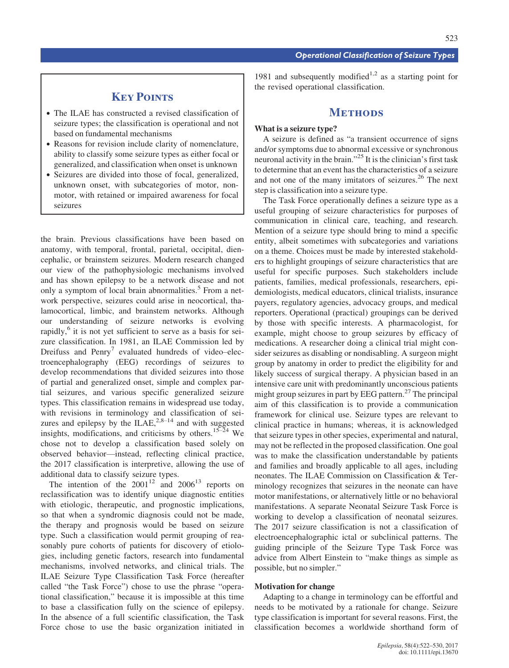# **KEY POINTS**

- The ILAE has constructed a revised classification of seizure types; the classification is operational and not based on fundamental mechanisms
- Reasons for revision include clarity of nomenclature, ability to classify some seizure types as either focal or generalized, and classification when onset is unknown
- Seizures are divided into those of focal, generalized, unknown onset, with subcategories of motor, nonmotor, with retained or impaired awareness for focal seizures

the brain. Previous classifications have been based on anatomy, with temporal, frontal, parietal, occipital, diencephalic, or brainstem seizures. Modern research changed our view of the pathophysiologic mechanisms involved and has shown epilepsy to be a network disease and not only a symptom of local brain abnormalities.<sup>5</sup> From a network perspective, seizures could arise in neocortical, thalamocortical, limbic, and brainstem networks. Although our understanding of seizure networks is evolving rapidly, $6$  it is not yet sufficient to serve as a basis for seizure classification. In 1981, an ILAE Commission led by Dreifuss and  $Penry^7$  evaluated hundreds of video–electroencephalography (EEG) recordings of seizures to develop recommendations that divided seizures into those of partial and generalized onset, simple and complex partial seizures, and various specific generalized seizure types. This classification remains in widespread use today, with revisions in terminology and classification of seizures and epilepsy by the  $ILAE<sub>1</sub><sup>2,8–14</sup>$  and with suggested insights, modifications, and criticisms by others.<sup>15–24</sup> We chose not to develop a classification based solely on observed behavior—instead, reflecting clinical practice, the 2017 classification is interpretive, allowing the use of additional data to classify seizure types.

The intention of the  $2001^{12}$  and  $2006^{13}$  reports on reclassification was to identify unique diagnostic entities with etiologic, therapeutic, and prognostic implications, so that when a syndromic diagnosis could not be made, the therapy and prognosis would be based on seizure type. Such a classification would permit grouping of reasonably pure cohorts of patients for discovery of etiologies, including genetic factors, research into fundamental mechanisms, involved networks, and clinical trials. The ILAE Seizure Type Classification Task Force (hereafter called "the Task Force") chose to use the phrase "operational classification," because it is impossible at this time to base a classification fully on the science of epilepsy. In the absence of a full scientific classification, the Task Force chose to use the basic organization initiated in 1981 and subsequently modified<sup>1,2</sup> as a starting point for the revised operational classification.

## **METHODS**

#### What is a seizure type?

A seizure is defined as "a transient occurrence of signs and/or symptoms due to abnormal excessive or synchronous neuronal activity in the brain."<sup>25</sup> It is the clinician's first task to determine that an event has the characteristics of a seizure and not one of the many imitators of seizures. $^{26}$  The next step is classification into a seizure type.

The Task Force operationally defines a seizure type as a useful grouping of seizure characteristics for purposes of communication in clinical care, teaching, and research. Mention of a seizure type should bring to mind a specific entity, albeit sometimes with subcategories and variations on a theme. Choices must be made by interested stakeholders to highlight groupings of seizure characteristics that are useful for specific purposes. Such stakeholders include patients, families, medical professionals, researchers, epidemiologists, medical educators, clinical trialists, insurance payers, regulatory agencies, advocacy groups, and medical reporters. Operational (practical) groupings can be derived by those with specific interests. A pharmacologist, for example, might choose to group seizures by efficacy of medications. A researcher doing a clinical trial might consider seizures as disabling or nondisabling. A surgeon might group by anatomy in order to predict the eligibility for and likely success of surgical therapy. A physician based in an intensive care unit with predominantly unconscious patients might group seizures in part by EEG pattern.<sup>27</sup> The principal aim of this classification is to provide a communication framework for clinical use. Seizure types are relevant to clinical practice in humans; whereas, it is acknowledged that seizure types in other species, experimental and natural, may not be reflected in the proposed classification. One goal was to make the classification understandable by patients and families and broadly applicable to all ages, including neonates. The ILAE Commission on Classification & Terminology recognizes that seizures in the neonate can have motor manifestations, or alternatively little or no behavioral manifestations. A separate Neonatal Seizure Task Force is working to develop a classification of neonatal seizures. The 2017 seizure classification is not a classification of electroencephalographic ictal or subclinical patterns. The guiding principle of the Seizure Type Task Force was advice from Albert Einstein to "make things as simple as possible, but no simpler."

#### Motivation for change

Adapting to a change in terminology can be effortful and needs to be motivated by a rationale for change. Seizure type classification is important for several reasons. First, the classification becomes a worldwide shorthand form of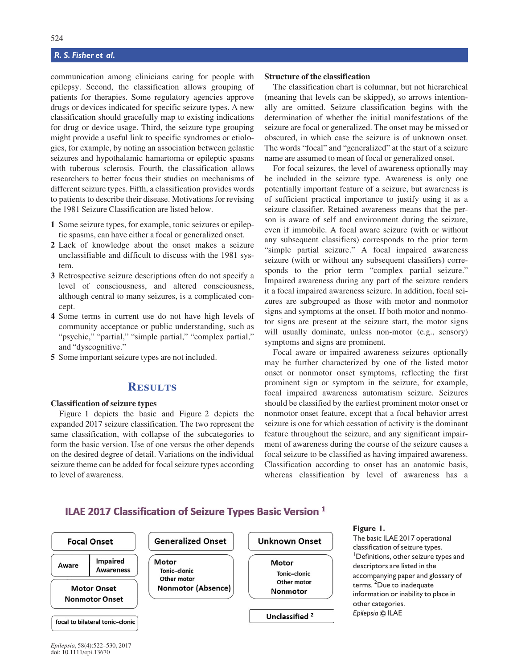communication among clinicians caring for people with epilepsy. Second, the classification allows grouping of patients for therapies. Some regulatory agencies approve drugs or devices indicated for specific seizure types. A new classification should gracefully map to existing indications for drug or device usage. Third, the seizure type grouping might provide a useful link to specific syndromes or etiologies, for example, by noting an association between gelastic seizures and hypothalamic hamartoma or epileptic spasms with tuberous sclerosis. Fourth, the classification allows researchers to better focus their studies on mechanisms of different seizure types. Fifth, a classification provides words to patients to describe their disease. Motivations for revising the 1981 Seizure Classification are listed below.

- 1 Some seizure types, for example, tonic seizures or epileptic spasms, can have either a focal or generalized onset.
- 2 Lack of knowledge about the onset makes a seizure unclassifiable and difficult to discuss with the 1981 system.
- 3 Retrospective seizure descriptions often do not specify a level of consciousness, and altered consciousness, although central to many seizures, is a complicated concept.
- 4 Some terms in current use do not have high levels of community acceptance or public understanding, such as "psychic," "partial," "simple partial," "complex partial," and "dyscognitive."
- 5 Some important seizure types are not included.

#### **RESULTS**

#### Classification of seizure types

Figure 1 depicts the basic and Figure 2 depicts the expanded 2017 seizure classification. The two represent the same classification, with collapse of the subcategories to form the basic version. Use of one versus the other depends on the desired degree of detail. Variations on the individual seizure theme can be added for focal seizure types according to level of awareness.

## Structure of the classification

The classification chart is columnar, but not hierarchical (meaning that levels can be skipped), so arrows intentionally are omitted. Seizure classification begins with the determination of whether the initial manifestations of the seizure are focal or generalized. The onset may be missed or obscured, in which case the seizure is of unknown onset. The words "focal" and "generalized" at the start of a seizure name are assumed to mean of focal or generalized onset.

For focal seizures, the level of awareness optionally may be included in the seizure type. Awareness is only one potentially important feature of a seizure, but awareness is of sufficient practical importance to justify using it as a seizure classifier. Retained awareness means that the person is aware of self and environment during the seizure, even if immobile. A focal aware seizure (with or without any subsequent classifiers) corresponds to the prior term "simple partial seizure." A focal impaired awareness seizure (with or without any subsequent classifiers) corresponds to the prior term "complex partial seizure." Impaired awareness during any part of the seizure renders it a focal impaired awareness seizure. In addition, focal seizures are subgrouped as those with motor and nonmotor signs and symptoms at the onset. If both motor and nonmotor signs are present at the seizure start, the motor signs will usually dominate, unless non-motor (e.g., sensory) symptoms and signs are prominent.

Focal aware or impaired awareness seizures optionally may be further characterized by one of the listed motor onset or nonmotor onset symptoms, reflecting the first prominent sign or symptom in the seizure, for example, focal impaired awareness automatism seizure. Seizures should be classified by the earliest prominent motor onset or nonmotor onset feature, except that a focal behavior arrest seizure is one for which cessation of activity is the dominant feature throughout the seizure, and any significant impairment of awareness during the course of the seizure causes a focal seizure to be classified as having impaired awareness. Classification according to onset has an anatomic basis, whereas classification by level of awareness has a



## **ILAE 2017 Classification of Seizure Types Basic Version 1**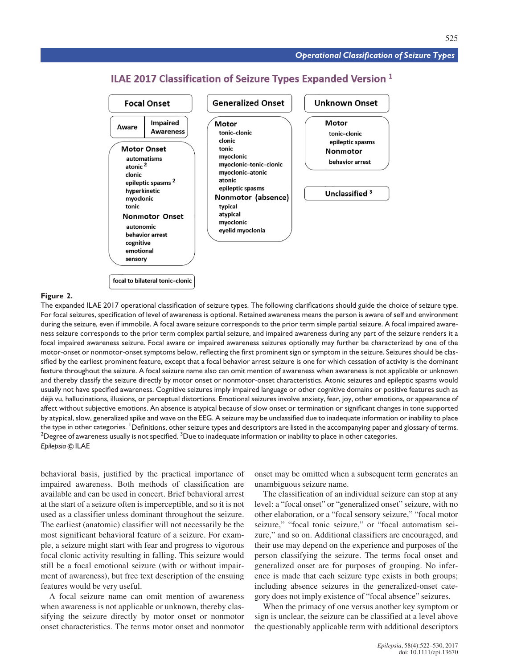## ILAE 2017 Classification of Seizure Types Expanded Version<sup>1</sup>



#### Figure 2.

The expanded ILAE 2017 operational classification of seizure types. The following clarifications should guide the choice of seizure type. For focal seizures, specification of level of awareness is optional. Retained awareness means the person is aware of self and environment during the seizure, even if immobile. A focal aware seizure corresponds to the prior term simple partial seizure. A focal impaired awareness seizure corresponds to the prior term complex partial seizure, and impaired awareness during any part of the seizure renders it a focal impaired awareness seizure. Focal aware or impaired awareness seizures optionally may further be characterized by one of the motor-onset or nonmotor-onset symptoms below, reflecting the first prominent sign or symptom in the seizure. Seizures should be classified by the earliest prominent feature, except that a focal behavior arrest seizure is one for which cessation of activity is the dominant feature throughout the seizure. A focal seizure name also can omit mention of awareness when awareness is not applicable or unknown and thereby classify the seizure directly by motor onset or nonmotor-onset characteristics. Atonic seizures and epileptic spasms would usually not have specified awareness. Cognitive seizures imply impaired language or other cognitive domains or positive features such as déjà vu, hallucinations, illusions, or perceptual distortions. Emotional seizures involve anxiety, fear, joy, other emotions, or appearance of affect without subjective emotions. An absence is atypical because of slow onset or termination or significant changes in tone supported by atypical, slow, generalized spike and wave on the EEG. A seizure may be unclassified due to inadequate information or inability to place the type in other categories. <sup>I</sup>Definitions, other seizure types and descriptors are listed in the accompanying paper and glossary of terms.<br><sup>2</sup>Degree of averences usually is not specified. <sup>3</sup>Due to inadequate informatio Degree of awareness usually is not specified. <sup>3</sup>Due to inadequate information or inability to place in other categories. Epilepsia © ILAE

behavioral basis, justified by the practical importance of impaired awareness. Both methods of classification are available and can be used in concert. Brief behavioral arrest at the start of a seizure often is imperceptible, and so it is not used as a classifier unless dominant throughout the seizure. The earliest (anatomic) classifier will not necessarily be the most significant behavioral feature of a seizure. For example, a seizure might start with fear and progress to vigorous focal clonic activity resulting in falling. This seizure would still be a focal emotional seizure (with or without impairment of awareness), but free text description of the ensuing features would be very useful.

A focal seizure name can omit mention of awareness when awareness is not applicable or unknown, thereby classifying the seizure directly by motor onset or nonmotor onset characteristics. The terms motor onset and nonmotor onset may be omitted when a subsequent term generates an unambiguous seizure name.

The classification of an individual seizure can stop at any level: a "focal onset" or "generalized onset" seizure, with no other elaboration, or a "focal sensory seizure," "focal motor seizure," "focal tonic seizure," or "focal automatism seizure," and so on. Additional classifiers are encouraged, and their use may depend on the experience and purposes of the person classifying the seizure. The terms focal onset and generalized onset are for purposes of grouping. No inference is made that each seizure type exists in both groups; including absence seizures in the generalized-onset category does not imply existence of "focal absence" seizures.

When the primacy of one versus another key symptom or sign is unclear, the seizure can be classified at a level above the questionably applicable term with additional descriptors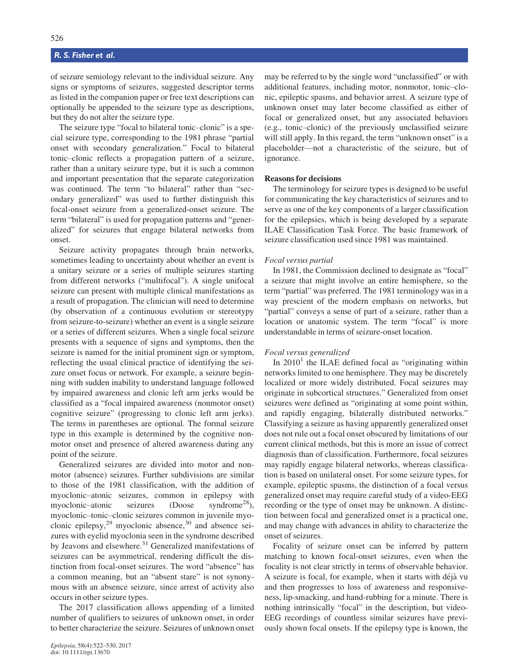of seizure semiology relevant to the individual seizure. Any signs or symptoms of seizures, suggested descriptor terms as listed in the companion paper or free text descriptions can optionally be appended to the seizure type as descriptions, but they do not alter the seizure type.

The seizure type "focal to bilateral tonic–clonic" is a special seizure type, corresponding to the 1981 phrase "partial onset with secondary generalization." Focal to bilateral tonic–clonic reflects a propagation pattern of a seizure, rather than a unitary seizure type, but it is such a common and important presentation that the separate categorization was continued. The term "to bilateral" rather than "secondary generalized" was used to further distinguish this focal-onset seizure from a generalized-onset seizure. The term "bilateral" is used for propagation patterns and "generalized" for seizures that engage bilateral networks from onset.

Seizure activity propagates through brain networks, sometimes leading to uncertainty about whether an event is a unitary seizure or a series of multiple seizures starting from different networks ("multifocal"). A single unifocal seizure can present with multiple clinical manifestations as a result of propagation. The clinician will need to determine (by observation of a continuous evolution or stereotypy from seizure-to-seizure) whether an event is a single seizure or a series of different seizures. When a single focal seizure presents with a sequence of signs and symptoms, then the seizure is named for the initial prominent sign or symptom, reflecting the usual clinical practice of identifying the seizure onset focus or network. For example, a seizure beginning with sudden inability to understand language followed by impaired awareness and clonic left arm jerks would be classified as a "focal impaired awareness (nonmotor onset) cognitive seizure" (progressing to clonic left arm jerks). The terms in parentheses are optional. The formal seizure type in this example is determined by the cognitive nonmotor onset and presence of altered awareness during any point of the seizure.

Generalized seizures are divided into motor and nonmotor (absence) seizures. Further subdivisions are similar to those of the 1981 classification, with the addition of myoclonic–atonic seizures, common in epilepsy with myoclonic–atonic seizures (Doose syndrome<sup>28</sup>), myoclonic–tonic–clonic seizures common in juvenile myoclonic epilepsy, $2^9$  myoclonic absence, $3^0$  and absence seizures with eyelid myoclonia seen in the syndrome described by Jeavons and elsewhere.<sup>31</sup> Generalized manifestations of seizures can be asymmetrical, rendering difficult the distinction from focal-onset seizures. The word "absence" has a common meaning, but an "absent stare" is not synonymous with an absence seizure, since arrest of activity also occurs in other seizure types.

The 2017 classification allows appending of a limited number of qualifiers to seizures of unknown onset, in order to better characterize the seizure. Seizures of unknown onset may be referred to by the single word "unclassified" or with additional features, including motor, nonmotor, tonic–clonic, epileptic spasms, and behavior arrest. A seizure type of unknown onset may later become classified as either of focal or generalized onset, but any associated behaviors (e.g., tonic–clonic) of the previously unclassified seizure will still apply. In this regard, the term "unknown onset" is a placeholder—not a characteristic of the seizure, but of ignorance.

#### Reasons for decisions

The terminology for seizure types is designed to be useful for communicating the key characteristics of seizures and to serve as one of the key components of a larger classification for the epilepsies, which is being developed by a separate ILAE Classification Task Force. The basic framework of seizure classification used since 1981 was maintained.

#### Focal versus partial

In 1981, the Commission declined to designate as "focal" a seizure that might involve an entire hemisphere, so the term "partial" was preferred. The 1981 terminology was in a way prescient of the modern emphasis on networks, but "partial" conveys a sense of part of a seizure, rather than a location or anatomic system. The term "focal" is more understandable in terms of seizure-onset location.

#### Focal versus generalized

In  $2010<sup>1</sup>$  the ILAE defined focal as "originating within networks limited to one hemisphere. They may be discretely localized or more widely distributed. Focal seizures may originate in subcortical structures." Generalized from onset seizures were defined as "originating at some point within, and rapidly engaging, bilaterally distributed networks." Classifying a seizure as having apparently generalized onset does not rule out a focal onset obscured by limitations of our current clinical methods, but this is more an issue of correct diagnosis than of classification. Furthermore, focal seizures may rapidly engage bilateral networks, whereas classification is based on unilateral onset. For some seizure types, for example, epileptic spasms, the distinction of a focal versus generalized onset may require careful study of a video-EEG recording or the type of onset may be unknown. A distinction between focal and generalized onset is a practical one, and may change with advances in ability to characterize the onset of seizures.

Focality of seizure onset can be inferred by pattern matching to known focal-onset seizures, even when the focality is not clear strictly in terms of observable behavior. A seizure is focal, for example, when it starts with déjà vu and then progresses to loss of awareness and responsiveness, lip-smacking, and hand-rubbing for a minute. There is nothing intrinsically "focal" in the description, but video-EEG recordings of countless similar seizures have previously shown focal onsets. If the epilepsy type is known, the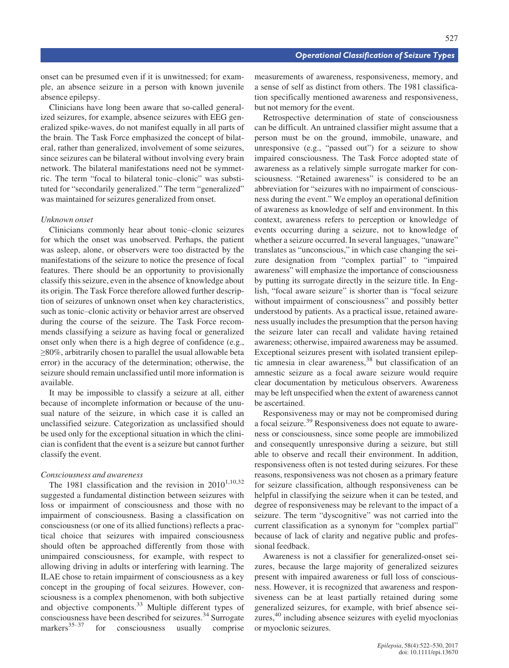onset can be presumed even if it is unwitnessed; for example, an absence seizure in a person with known juvenile absence epilepsy.

Clinicians have long been aware that so-called generalized seizures, for example, absence seizures with EEG generalized spike-waves, do not manifest equally in all parts of the brain. The Task Force emphasized the concept of bilateral, rather than generalized, involvement of some seizures, since seizures can be bilateral without involving every brain network. The bilateral manifestations need not be symmetric. The term "focal to bilateral tonic–clonic" was substituted for "secondarily generalized." The term "generalized" was maintained for seizures generalized from onset.

#### Unknown onset

Clinicians commonly hear about tonic–clonic seizures for which the onset was unobserved. Perhaps, the patient was asleep, alone, or observers were too distracted by the manifestations of the seizure to notice the presence of focal features. There should be an opportunity to provisionally classify this seizure, even in the absence of knowledge about its origin. The Task Force therefore allowed further description of seizures of unknown onset when key characteristics, such as tonic–clonic activity or behavior arrest are observed during the course of the seizure. The Task Force recommends classifying a seizure as having focal or generalized onset only when there is a high degree of confidence (e.g., ≥80%, arbitrarily chosen to parallel the usual allowable beta error) in the accuracy of the determination; otherwise, the seizure should remain unclassified until more information is available.

It may be impossible to classify a seizure at all, either because of incomplete information or because of the unusual nature of the seizure, in which case it is called an unclassified seizure. Categorization as unclassified should be used only for the exceptional situation in which the clinician is confident that the event is a seizure but cannot further classify the event.

#### Consciousness and awareness

The 1981 classification and the revision in  $2010^{1,10,32}$ suggested a fundamental distinction between seizures with loss or impairment of consciousness and those with no impairment of consciousness. Basing a classification on consciousness (or one of its allied functions) reflects a practical choice that seizures with impaired consciousness should often be approached differently from those with unimpaired consciousness, for example, with respect to allowing driving in adults or interfering with learning. The ILAE chose to retain impairment of consciousness as a key concept in the grouping of focal seizures. However, consciousness is a complex phenomenon, with both subjective and objective components.<sup>33</sup> Multiple different types of consciousness have been described for seizures.<sup>34</sup> Surrogate markers<sup>35–37</sup> for consciousness usually comprise

measurements of awareness, responsiveness, memory, and a sense of self as distinct from others. The 1981 classification specifically mentioned awareness and responsiveness, but not memory for the event.

Retrospective determination of state of consciousness can be difficult. An untrained classifier might assume that a person must be on the ground, immobile, unaware, and unresponsive (e.g., "passed out") for a seizure to show impaired consciousness. The Task Force adopted state of awareness as a relatively simple surrogate marker for consciousness. "Retained awareness" is considered to be an abbreviation for "seizures with no impairment of consciousness during the event." We employ an operational definition of awareness as knowledge of self and environment. In this context, awareness refers to perception or knowledge of events occurring during a seizure, not to knowledge of whether a seizure occurred. In several languages, "unaware" translates as "unconscious," in which case changing the seizure designation from "complex partial" to "impaired awareness" will emphasize the importance of consciousness by putting its surrogate directly in the seizure title. In English, "focal aware seizure" is shorter than is "focal seizure without impairment of consciousness" and possibly better understood by patients. As a practical issue, retained awareness usually includes the presumption that the person having the seizure later can recall and validate having retained awareness; otherwise, impaired awareness may be assumed. Exceptional seizures present with isolated transient epileptic amnesia in clear awareness,<sup>38</sup> but classification of an amnestic seizure as a focal aware seizure would require clear documentation by meticulous observers. Awareness may be left unspecified when the extent of awareness cannot be ascertained.

Responsiveness may or may not be compromised during a focal seizure.<sup>39</sup> Responsiveness does not equate to awareness or consciousness, since some people are immobilized and consequently unresponsive during a seizure, but still able to observe and recall their environment. In addition, responsiveness often is not tested during seizures. For these reasons, responsiveness was not chosen as a primary feature for seizure classification, although responsiveness can be helpful in classifying the seizure when it can be tested, and degree of responsiveness may be relevant to the impact of a seizure. The term "dyscognitive" was not carried into the current classification as a synonym for "complex partial" because of lack of clarity and negative public and professional feedback.

Awareness is not a classifier for generalized-onset seizures, because the large majority of generalized seizures present with impaired awareness or full loss of consciousness. However, it is recognized that awareness and responsiveness can be at least partially retained during some generalized seizures, for example, with brief absence seizures,<sup>40</sup> including absence seizures with eyelid myoclonias or myoclonic seizures.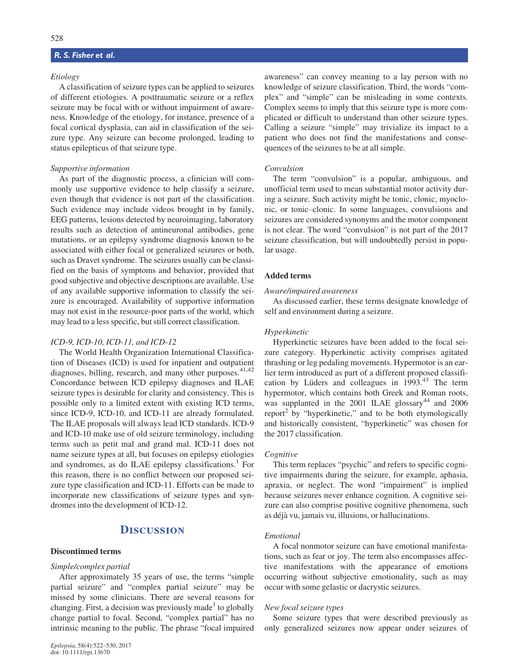#### Etiology

A classification of seizure types can be applied to seizures of different etiologies. A posttraumatic seizure or a reflex seizure may be focal with or without impairment of awareness. Knowledge of the etiology, for instance, presence of a focal cortical dysplasia, can aid in classification of the seizure type. Any seizure can become prolonged, leading to status epilepticus of that seizure type.

#### Supportive information

As part of the diagnostic process, a clinician will commonly use supportive evidence to help classify a seizure, even though that evidence is not part of the classification. Such evidence may include videos brought in by family, EEG patterns, lesions detected by neuroimaging, laboratory results such as detection of antineuronal antibodies, gene mutations, or an epilepsy syndrome diagnosis known to be associated with either focal or generalized seizures or both, such as Dravet syndrome. The seizures usually can be classified on the basis of symptoms and behavior, provided that good subjective and objective descriptions are available. Use of any available supportive information to classify the seizure is encouraged. Availability of supportive information may not exist in the resource-poor parts of the world, which may lead to a less specific, but still correct classification.

#### ICD-9, ICD-10, ICD-11, and ICD-12

The World Health Organization International Classification of Diseases (ICD) is used for inpatient and outpatient diagnoses, billing, research, and many other purposes.<sup>41,42</sup> Concordance between ICD epilepsy diagnoses and ILAE seizure types is desirable for clarity and consistency. This is possible only to a limited extent with existing ICD terms, since ICD-9, ICD-10, and ICD-11 are already formulated. The ILAE proposals will always lead ICD standards. ICD-9 and ICD-10 make use of old seizure terminology, including terms such as petit mal and grand mal. ICD-11 does not name seizure types at all, but focuses on epilepsy etiologies and syndromes, as do ILAE epilepsy classifications.<sup>1</sup> For this reason, there is no conflict between our proposed seizure type classification and ICD-11. Efforts can be made to incorporate new classifications of seizure types and syndromes into the development of ICD-12.

## **DISCUSSION**

## Discontinued terms

#### Simple/complex partial

After approximately 35 years of use, the terms "simple partial seizure" and "complex partial seizure" may be missed by some clinicians. There are several reasons for changing. First, a decision was previously made<sup>1</sup> to globally change partial to focal. Second, "complex partial" has no intrinsic meaning to the public. The phrase "focal impaired awareness" can convey meaning to a lay person with no knowledge of seizure classification. Third, the words "complex" and "simple" can be misleading in some contexts. Complex seems to imply that this seizure type is more complicated or difficult to understand than other seizure types. Calling a seizure "simple" may trivialize its impact to a patient who does not find the manifestations and consequences of the seizures to be at all simple.

#### Convulsion

The term "convulsion" is a popular, ambiguous, and unofficial term used to mean substantial motor activity during a seizure. Such activity might be tonic, clonic, myoclonic, or tonic–clonic. In some languages, convulsions and seizures are considered synonyms and the motor component is not clear. The word "convulsion" is not part of the 2017 seizure classification, but will undoubtedly persist in popular usage.

#### Added terms

#### Aware/impaired awareness

As discussed earlier, these terms designate knowledge of self and environment during a seizure.

#### Hyperkinetic

Hyperkinetic seizures have been added to the focal seizure category. Hyperkinetic activity comprises agitated thrashing or leg pedaling movements. Hypermotor is an earlier term introduced as part of a different proposed classification by Lüders and colleagues in  $1993<sup>43</sup>$  The term hypermotor, which contains both Greek and Roman roots, was supplanted in the 2001 ILAE glossary<sup>44</sup> and 2006 report<sup>2</sup> by "hyperkinetic," and to be both etymologically and historically consistent, "hyperkinetic" was chosen for the 2017 classification.

#### Cognitive

This term replaces "psychic" and refers to specific cognitive impairments during the seizure, for example, aphasia, apraxia, or neglect. The word "impairment" is implied because seizures never enhance cognition. A cognitive seizure can also comprise positive cognitive phenomena, such as deja vu, jamais vu, illusions, or hallucinations.

#### Emotional

A focal nonmotor seizure can have emotional manifestations, such as fear or joy. The term also encompasses affective manifestations with the appearance of emotions occurring without subjective emotionality, such as may occur with some gelastic or dacrystic seizures.

#### New focal seizure types

Some seizure types that were described previously as only generalized seizures now appear under seizures of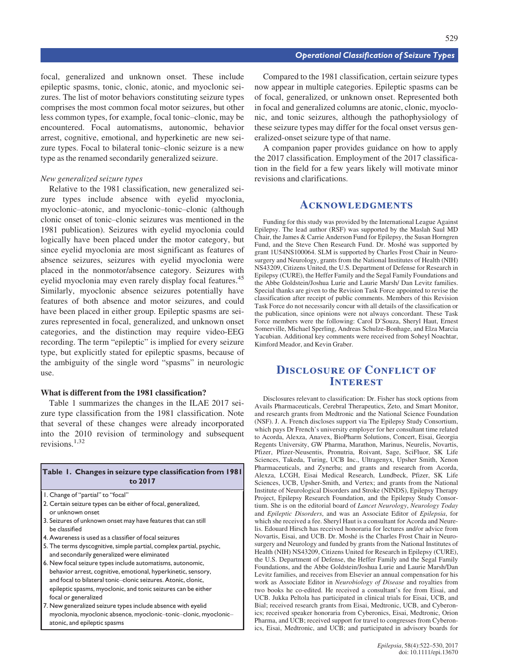## Operational Classification of Seizure Types

focal, generalized and unknown onset. These include epileptic spasms, tonic, clonic, atonic, and myoclonic seizures. The list of motor behaviors constituting seizure types comprises the most common focal motor seizures, but other less common types, for example, focal tonic–clonic, may be encountered. Focal automatisms, autonomic, behavior arrest, cognitive, emotional, and hyperkinetic are new seizure types. Focal to bilateral tonic–clonic seizure is a new type as the renamed secondarily generalized seizure.

#### New generalized seizure types

Relative to the 1981 classification, new generalized seizure types include absence with eyelid myoclonia, myoclonic–atonic, and myoclonic–tonic–clonic (although clonic onset of tonic–clonic seizures was mentioned in the 1981 publication). Seizures with eyelid myoclonia could logically have been placed under the motor category, but since eyelid myoclonia are most significant as features of absence seizures, seizures with eyelid myoclonia were placed in the nonmotor/absence category. Seizures with eyelid myoclonia may even rarely display focal features.<sup>45</sup> Similarly, myoclonic absence seizures potentially have features of both absence and motor seizures, and could have been placed in either group. Epileptic spasms are seizures represented in focal, generalized, and unknown onset categories, and the distinction may require video-EEG recording. The term "epileptic" is implied for every seizure type, but explicitly stated for epileptic spasms, because of the ambiguity of the single word "spasms" in neurologic use.

## What is different from the 1981 classification?

Table 1 summarizes the changes in the ILAE 2017 seizure type classification from the 1981 classification. Note that several of these changes were already incorporated into the 2010 revision of terminology and subsequent revisions $1,32$ 

#### Table 1. Changes in seizure type classification from 1981 to 2017

- 1. Change of "partial" to "focal"
- 2. Certain seizure types can be either of focal, generalized, or unknown onset
- 3. Seizures of unknown onset may have features that can still be classified
- 4. Awareness is used as a classifier of focal seizures
- 5. The terms dyscognitive, simple partial, complex partial, psychic, and secondarily generalized were eliminated
- 6. New focal seizure types include automatisms, autonomic, behavior arrest, cognitive, emotional, hyperkinetic, sensory, and focal to bilateral tonic–clonic seizures. Atonic, clonic, epileptic spasms, myoclonic, and tonic seizures can be either focal or generalized
- . New generalized seizure types include absence with eyelid myoclonia, myoclonic absence, myoclonic–tonic–clonic, myoclonic– atonic, and epileptic spasms

Compared to the 1981 classification, certain seizure types now appear in multiple categories. Epileptic spasms can be of focal, generalized, or unknown onset. Represented both in focal and generalized columns are atonic, clonic, myoclonic, and tonic seizures, although the pathophysiology of these seizure types may differ for the focal onset versus generalized-onset seizure type of that name.

A companion paper provides guidance on how to apply the 2017 classification. Employment of the 2017 classification in the field for a few years likely will motivate minor revisions and clarifications.

## **ACKNOWLEDGMENTS**

Funding for this study was provided by the International League Against Epilepsy. The lead author (RSF) was supported by the Maslah Saul MD Chair, the James & Carrie Anderson Fund for Epilepsy, the Susan Horngren Fund, and the Steve Chen Research Fund. Dr. Moshé was supported by grant 1U54NS100064. SLM is supported by Charles Frost Chair in Neurosurgery and Neurology, grants from the National Institutes of Health (NIH) NS43209, Citizens United, the U.S. Department of Defense for Research in Epilepsy (CURE), the Heffer Family and the Segal Family Foundations and the Abbe Goldstein/Joshua Lurie and Laurie Marsh/ Dan Levitz families. Special thanks are given to the Revision Task Force appointed to revise the classification after receipt of public comments. Members of this Revision Task Force do not necessarily concur with all details of the classification or the publication, since opinions were not always concordant. These Task Force members were the following: Carol D'Souza, Sheryl Haut, Ernest Somerville, Michael Sperling, Andreas Schulze-Bonhage, and Elza Marcia Yacubian. Additional key comments were received from Soheyl Noachtar, Kimford Meador, and Kevin Graber.

## DISCLOSURE OF CONFLICT OF **INTEREST**

Disclosures relevant to classification: Dr. Fisher has stock options from Avails Pharmaceuticals, Cerebral Therapeutics, Zeto, and Smart Monitor, and research grants from Medtronic and the National Science Foundation (NSF). J. A. French discloses support via The Epilepsy Study Consortium, which pays Dr French's university employer for her consultant time related to Acorda, Alexza, Anavex, BioPharm Solutions, Concert, Eisai, Georgia Regents University, GW Pharma, Marathon, Marinus, Neurelis, Novartis, Pfizer, Pfizer-Neusentis, Pronutria, Roivant, Sage, SciFluor, SK Life Sciences, Takeda, Turing, UCB Inc., Ultragenyx, Upsher Smith, Xenon Pharmaceuticals, and Zynerba; and grants and research from Acorda, Alexza, LCGH, Eisai Medical Research, Lundbeck, Pfizer, SK Life Sciences, UCB, Upsher-Smith, and Vertex; and grants from the National Institute of Neurological Disorders and Stroke (NINDS), Epilepsy Therapy Project, Epilepsy Research Foundation, and the Epilepsy Study Consortium. She is on the editorial board of Lancet Neurology, Neurology Today and Epileptic Disorders, and was an Associate Editor of Epilepsia, for which she received a fee. Sheryl Haut is a consultant for Acorda and Neurelis. Edouard Hirsch has received honoraria for lectures and/or advice from Novartis, Eisai, and UCB. Dr. Moshe is the Charles Frost Chair in Neurosurgery and Neurology and funded by grants from the National Institutes of Health (NIH) NS43209, Citizens United for Research in Epilepsy (CURE), the U.S. Department of Defense, the Heffer Family and the Segal Family Foundations, and the Abbe Goldstein/Joshua Lurie and Laurie Marsh/Dan Levitz families, and receives from Elsevier an annual compensation for his work as Associate Editor in Neurobiology of Disease and royalties from two books he co-edited. He received a consultant's fee from Eisai, and UCB. Jukka Peltola has participated in clinical trials for Eisai, UCB, and Bial; received research grants from Eisai, Medtronic, UCB, and Cyberonics; received speaker honoraria from Cyberonics, Eisai, Medtronic, Orion Pharma, and UCB; received support for travel to congresses from Cyberonics, Eisai, Medtronic, and UCB; and participated in advisory boards for